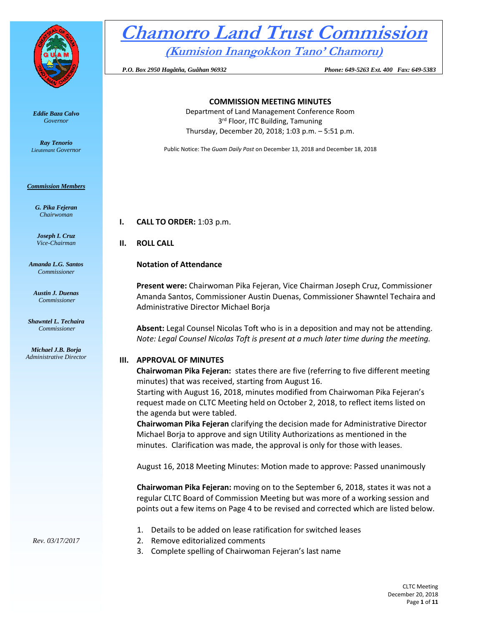

*Eddie Baza Calvo Governor* 

*Ray Tenorio Lieutenant Governor* 

#### *Commission Members*

*G. Pika Fejeran Chairwoman*

*Joseph I. Cruz Vice-Chairman*

*Amanda L.G. Santos Commissioner*

*Austin J. Duenas Commissioner*

*Shawntel L. Techaira Commissioner*

*Michael J.B. Borja Administrative Director*

# **Chamorro Land Trust Commission (Kumision Inangokkon Tano' Chamoru)**

 *P.O. Box 2950 Hagåtña, Guåhan 96932 Phone: 649-5263 Ext. 400 Fax: 649-5383*

#### **COMMISSION MEETING MINUTES**

Department of Land Management Conference Room 3<sup>rd</sup> Floor, ITC Building, Tamuning Thursday, December 20, 2018; 1:03 p.m. – 5:51 p.m.

Public Notice: The *Guam Daily Post* on December 13, 2018 and December 18, 2018

**I. CALL TO ORDER:** 1:03 p.m.

**II. ROLL CALL**

# **Notation of Attendance**

**Present were:** Chairwoman Pika Fejeran, Vice Chairman Joseph Cruz, Commissioner Amanda Santos, Commissioner Austin Duenas, Commissioner Shawntel Techaira and Administrative Director Michael Borja

**Absent:** Legal Counsel Nicolas Toft who is in a deposition and may not be attending. *Note: Legal Counsel Nicolas Toft is present at a much later time during the meeting.* 

# **III. APPROVAL OF MINUTES**

**Chairwoman Pika Fejeran:** states there are five (referring to five different meeting minutes) that was received, starting from August 16.

Starting with August 16, 2018, minutes modified from Chairwoman Pika Fejeran's request made on CLTC Meeting held on October 2, 2018, to reflect items listed on the agenda but were tabled.

**Chairwoman Pika Fejeran** clarifying the decision made for Administrative Director Michael Borja to approve and sign Utility Authorizations as mentioned in the minutes. Clarification was made, the approval is only for those with leases.

August 16, 2018 Meeting Minutes: Motion made to approve: Passed unanimously

**Chairwoman Pika Fejeran:** moving on to the September 6, 2018, states it was not a regular CLTC Board of Commission Meeting but was more of a working session and points out a few items on Page 4 to be revised and corrected which are listed below.

- 1. Details to be added on lease ratification for switched leases
- 2. Remove editorialized comments
- 3. Complete spelling of Chairwoman Fejeran's last name

*Rev. 03/17/2017*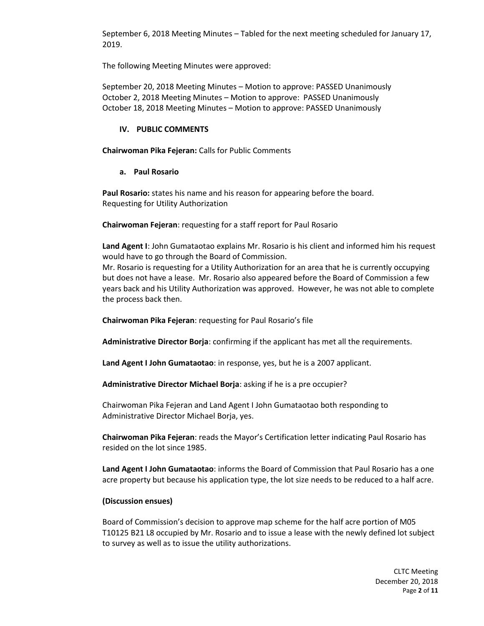September 6, 2018 Meeting Minutes – Tabled for the next meeting scheduled for January 17, 2019.

The following Meeting Minutes were approved:

September 20, 2018 Meeting Minutes – Motion to approve: PASSED Unanimously October 2, 2018 Meeting Minutes – Motion to approve: PASSED Unanimously October 18, 2018 Meeting Minutes – Motion to approve: PASSED Unanimously

# **IV. PUBLIC COMMENTS**

**Chairwoman Pika Fejeran:** Calls for Public Comments

#### **a. Paul Rosario**

**Paul Rosario:** states his name and his reason for appearing before the board. Requesting for Utility Authorization

**Chairwoman Fejeran**: requesting for a staff report for Paul Rosario

**Land Agent I**: John Gumataotao explains Mr. Rosario is his client and informed him his request would have to go through the Board of Commission.

Mr. Rosario is requesting for a Utility Authorization for an area that he is currently occupying but does not have a lease. Mr. Rosario also appeared before the Board of Commission a few years back and his Utility Authorization was approved. However, he was not able to complete the process back then.

**Chairwoman Pika Fejeran**: requesting for Paul Rosario's file

**Administrative Director Borja**: confirming if the applicant has met all the requirements.

**Land Agent I John Gumataotao**: in response, yes, but he is a 2007 applicant.

**Administrative Director Michael Borja**: asking if he is a pre occupier?

Chairwoman Pika Fejeran and Land Agent I John Gumataotao both responding to Administrative Director Michael Borja, yes.

**Chairwoman Pika Fejeran**: reads the Mayor's Certification letter indicating Paul Rosario has resided on the lot since 1985.

**Land Agent I John Gumataotao**: informs the Board of Commission that Paul Rosario has a one acre property but because his application type, the lot size needs to be reduced to a half acre.

# **(Discussion ensues)**

Board of Commission's decision to approve map scheme for the half acre portion of M05 T10125 B21 L8 occupied by Mr. Rosario and to issue a lease with the newly defined lot subject to survey as well as to issue the utility authorizations.

> CLTC Meeting December 20, 2018 Page **2** of **11**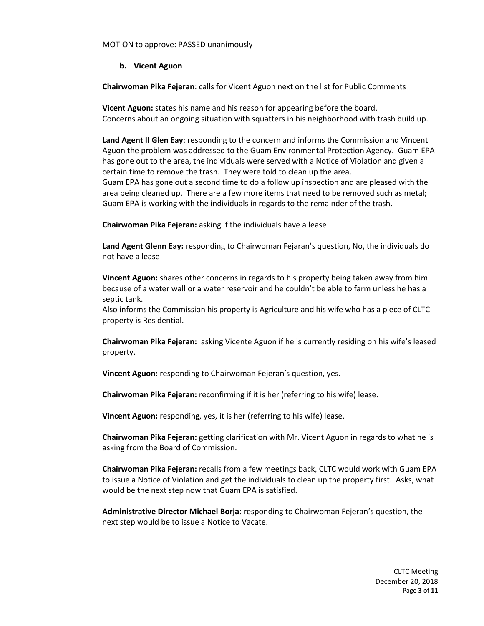MOTION to approve: PASSED unanimously

#### **b. Vicent Aguon**

**Chairwoman Pika Fejeran**: calls for Vicent Aguon next on the list for Public Comments

**Vicent Aguon:** states his name and his reason for appearing before the board. Concerns about an ongoing situation with squatters in his neighborhood with trash build up.

Land Agent II Glen Eay: responding to the concern and informs the Commission and Vincent Aguon the problem was addressed to the Guam Environmental Protection Agency. Guam EPA has gone out to the area, the individuals were served with a Notice of Violation and given a certain time to remove the trash. They were told to clean up the area. Guam EPA has gone out a second time to do a follow up inspection and are pleased with the area being cleaned up. There are a few more items that need to be removed such as metal; Guam EPA is working with the individuals in regards to the remainder of the trash.

**Chairwoman Pika Fejeran:** asking if the individuals have a lease

**Land Agent Glenn Eay:** responding to Chairwoman Fejaran's question, No, the individuals do not have a lease

**Vincent Aguon:** shares other concerns in regards to his property being taken away from him because of a water wall or a water reservoir and he couldn't be able to farm unless he has a septic tank.

Also informs the Commission his property is Agriculture and his wife who has a piece of CLTC property is Residential.

**Chairwoman Pika Fejeran:** asking Vicente Aguon if he is currently residing on his wife's leased property.

**Vincent Aguon:** responding to Chairwoman Fejeran's question, yes.

**Chairwoman Pika Fejeran:** reconfirming if it is her (referring to his wife) lease.

**Vincent Aguon:** responding, yes, it is her (referring to his wife) lease.

**Chairwoman Pika Fejeran:** getting clarification with Mr. Vicent Aguon in regards to what he is asking from the Board of Commission.

**Chairwoman Pika Fejeran:** recalls from a few meetings back, CLTC would work with Guam EPA to issue a Notice of Violation and get the individuals to clean up the property first. Asks, what would be the next step now that Guam EPA is satisfied.

**Administrative Director Michael Borja**: responding to Chairwoman Fejeran's question, the next step would be to issue a Notice to Vacate.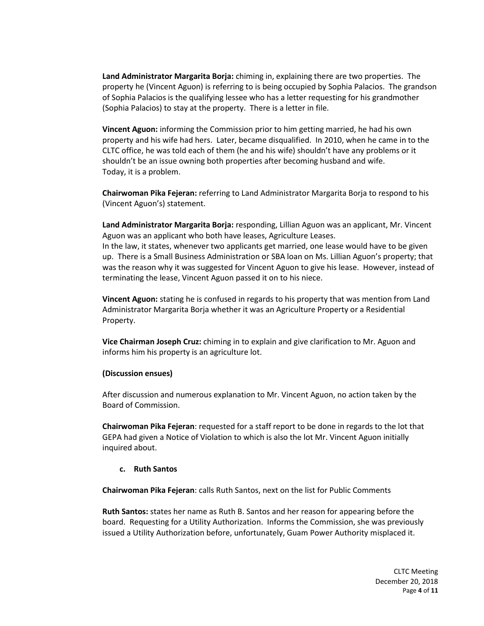**Land Administrator Margarita Borja:** chiming in, explaining there are two properties. The property he (Vincent Aguon) is referring to is being occupied by Sophia Palacios. The grandson of Sophia Palacios is the qualifying lessee who has a letter requesting for his grandmother (Sophia Palacios) to stay at the property. There is a letter in file.

**Vincent Aguon:** informing the Commission prior to him getting married, he had his own property and his wife had hers. Later, became disqualified. In 2010, when he came in to the CLTC office, he was told each of them (he and his wife) shouldn't have any problems or it shouldn't be an issue owning both properties after becoming husband and wife. Today, it is a problem.

**Chairwoman Pika Fejeran:** referring to Land Administrator Margarita Borja to respond to his (Vincent Aguon's) statement.

**Land Administrator Margarita Borja:** responding, Lillian Aguon was an applicant, Mr. Vincent Aguon was an applicant who both have leases, Agriculture Leases.

In the law, it states, whenever two applicants get married, one lease would have to be given up. There is a Small Business Administration or SBA loan on Ms. Lillian Aguon's property; that was the reason why it was suggested for Vincent Aguon to give his lease. However, instead of terminating the lease, Vincent Aguon passed it on to his niece.

**Vincent Aguon:** stating he is confused in regards to his property that was mention from Land Administrator Margarita Borja whether it was an Agriculture Property or a Residential Property.

**Vice Chairman Joseph Cruz:** chiming in to explain and give clarification to Mr. Aguon and informs him his property is an agriculture lot.

#### **(Discussion ensues)**

After discussion and numerous explanation to Mr. Vincent Aguon, no action taken by the Board of Commission.

**Chairwoman Pika Fejeran**: requested for a staff report to be done in regards to the lot that GEPA had given a Notice of Violation to which is also the lot Mr. Vincent Aguon initially inquired about.

#### **c. Ruth Santos**

**Chairwoman Pika Fejeran**: calls Ruth Santos, next on the list for Public Comments

**Ruth Santos:** states her name as Ruth B. Santos and her reason for appearing before the board.Requesting for a Utility Authorization. Informs the Commission, she was previously issued a Utility Authorization before, unfortunately, Guam Power Authority misplaced it.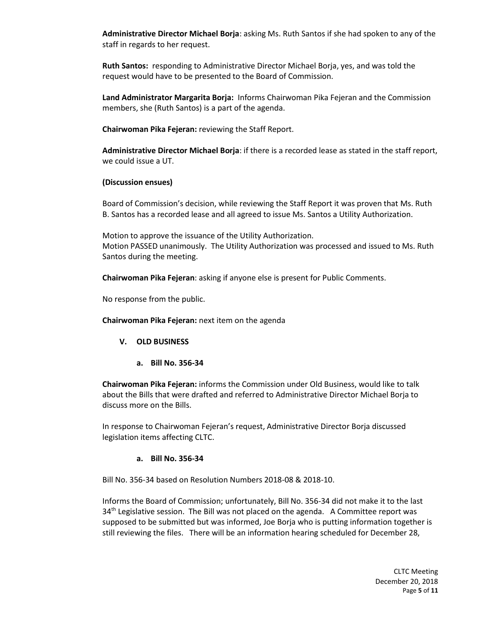**Administrative Director Michael Borja**: asking Ms. Ruth Santos if she had spoken to any of the staff in regards to her request.

**Ruth Santos:** responding to Administrative Director Michael Borja, yes, and was told the request would have to be presented to the Board of Commission.

**Land Administrator Margarita Borja:** Informs Chairwoman Pika Fejeran and the Commission members, she (Ruth Santos) is a part of the agenda.

**Chairwoman Pika Fejeran:** reviewing the Staff Report.

**Administrative Director Michael Borja**: if there is a recorded lease as stated in the staff report, we could issue a UT.

#### **(Discussion ensues)**

Board of Commission's decision, while reviewing the Staff Report it was proven that Ms. Ruth B. Santos has a recorded lease and all agreed to issue Ms. Santos a Utility Authorization.

Motion to approve the issuance of the Utility Authorization. Motion PASSED unanimously. The Utility Authorization was processed and issued to Ms. Ruth Santos during the meeting.

**Chairwoman Pika Fejeran**: asking if anyone else is present for Public Comments.

No response from the public.

**Chairwoman Pika Fejeran:** next item on the agenda

- **V. OLD BUSINESS**
	- **a. Bill No. 356-34**

**Chairwoman Pika Fejeran:** informs the Commission under Old Business, would like to talk about the Bills that were drafted and referred to Administrative Director Michael Borja to discuss more on the Bills.

In response to Chairwoman Fejeran's request, Administrative Director Borja discussed legislation items affecting CLTC.

#### **a. Bill No. 356-34**

Bill No. 356-34 based on Resolution Numbers 2018-08 & 2018-10.

Informs the Board of Commission; unfortunately, Bill No. 356-34 did not make it to the last  $34<sup>th</sup>$  Legislative session. The Bill was not placed on the agenda. A Committee report was supposed to be submitted but was informed, Joe Borja who is putting information together is still reviewing the files. There will be an information hearing scheduled for December 28,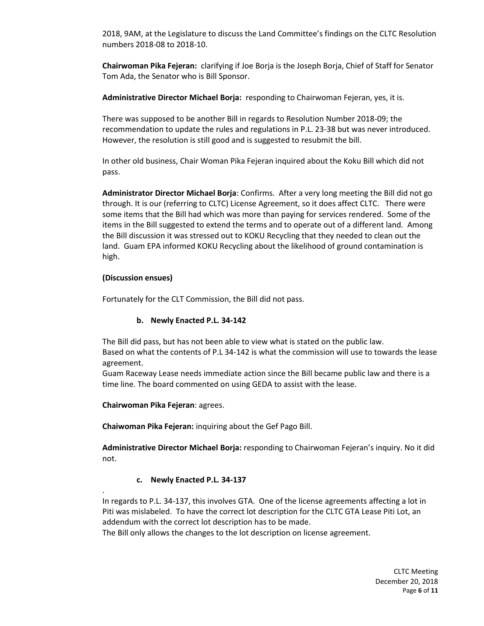2018, 9AM, at the Legislature to discuss the Land Committee's findings on the CLTC Resolution numbers 2018-08 to 2018-10.

**Chairwoman Pika Fejeran:** clarifying if Joe Borja is the Joseph Borja, Chief of Staff for Senator Tom Ada, the Senator who is Bill Sponsor.

**Administrative Director Michael Borja:** responding to Chairwoman Fejeran, yes, it is.

There was supposed to be another Bill in regards to Resolution Number 2018-09; the recommendation to update the rules and regulations in P.L. 23-38 but was never introduced. However, the resolution is still good and is suggested to resubmit the bill.

In other old business, Chair Woman Pika Fejeran inquired about the Koku Bill which did not pass.

**Administrator Director Michael Borja**: Confirms. After a very long meeting the Bill did not go through. It is our (referring to CLTC) License Agreement, so it does affect CLTC. There were some items that the Bill had which was more than paying for services rendered. Some of the items in the Bill suggested to extend the terms and to operate out of a different land. Among the Bill discussion it was stressed out to KOKU Recycling that they needed to clean out the land. Guam EPA informed KOKU Recycling about the likelihood of ground contamination is high.

#### **(Discussion ensues)**

.

Fortunately for the CLT Commission, the Bill did not pass.

# **b. Newly Enacted P.L. 34-142**

The Bill did pass, but has not been able to view what is stated on the public law. Based on what the contents of P.L 34-142 is what the commission will use to towards the lease agreement.

Guam Raceway Lease needs immediate action since the Bill became public law and there is a time line. The board commented on using GEDA to assist with the lease.

**Chairwoman Pika Fejeran**: agrees.

**Chaiwoman Pika Fejeran:** inquiring about the Gef Pago Bill.

**Administrative Director Michael Borja:** responding to Chairwoman Fejeran's inquiry. No it did not.

# **c. Newly Enacted P.L. 34-137**

In regards to P.L. 34-137, this involves GTA. One of the license agreements affecting a lot in Piti was mislabeled. To have the correct lot description for the CLTC GTA Lease Piti Lot, an addendum with the correct lot description has to be made.

The Bill only allows the changes to the lot description on license agreement.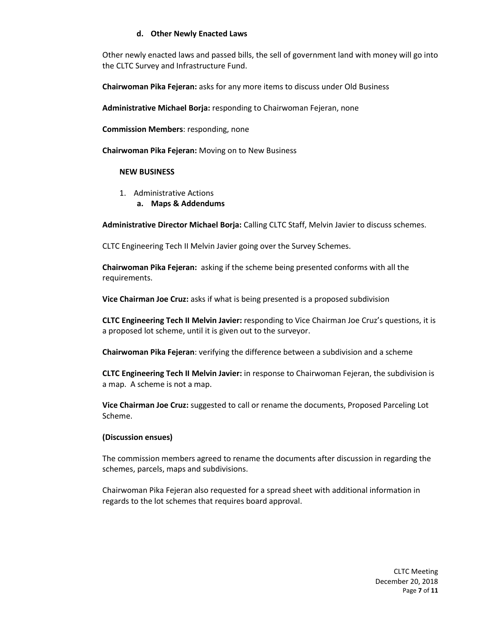# **d. Other Newly Enacted Laws**

Other newly enacted laws and passed bills, the sell of government land with money will go into the CLTC Survey and Infrastructure Fund.

**Chairwoman Pika Fejeran:** asks for any more items to discuss under Old Business

**Administrative Michael Borja:** responding to Chairwoman Fejeran, none

**Commission Members**: responding, none

**Chairwoman Pika Fejeran:** Moving on to New Business

#### **NEW BUSINESS**

- 1. Administrative Actions
	- **a. Maps & Addendums**

**Administrative Director Michael Borja:** Calling CLTC Staff, Melvin Javier to discuss schemes.

CLTC Engineering Tech II Melvin Javier going over the Survey Schemes.

**Chairwoman Pika Fejeran:** asking if the scheme being presented conforms with all the requirements.

**Vice Chairman Joe Cruz:** asks if what is being presented is a proposed subdivision

**CLTC Engineering Tech II Melvin Javier:** responding to Vice Chairman Joe Cruz's questions, it is a proposed lot scheme, until it is given out to the surveyor.

**Chairwoman Pika Fejeran**: verifying the difference between a subdivision and a scheme

**CLTC Engineering Tech II Melvin Javier:** in response to Chairwoman Fejeran, the subdivision is a map. A scheme is not a map.

**Vice Chairman Joe Cruz:** suggested to call or rename the documents, Proposed Parceling Lot Scheme.

# **(Discussion ensues)**

The commission members agreed to rename the documents after discussion in regarding the schemes, parcels, maps and subdivisions.

Chairwoman Pika Fejeran also requested for a spread sheet with additional information in regards to the lot schemes that requires board approval.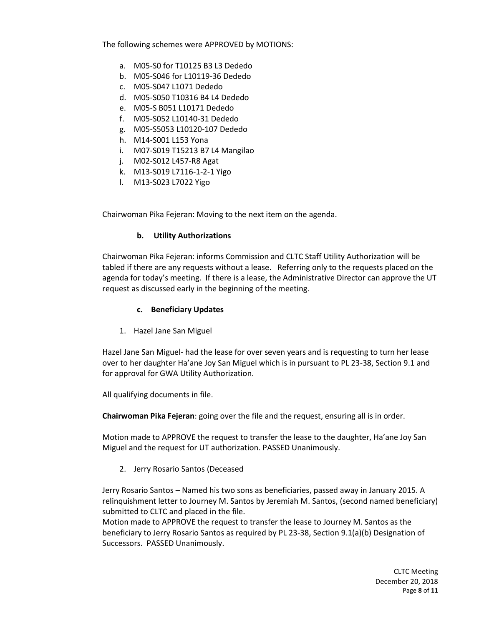The following schemes were APPROVED by MOTIONS:

- a. M05-S0 for T10125 B3 L3 Dededo
- b. M05-S046 for L10119-36 Dededo
- c. M05-S047 L1071 Dededo
- d. M05-S050 T10316 B4 L4 Dededo
- e. M05-S B051 L10171 Dededo
- f. M05-S052 L10140-31 Dededo
- g. M05-S5053 L10120-107 Dededo
- h. M14-S001 L153 Yona
- i. M07-S019 T15213 B7 L4 Mangilao
- j. M02-S012 L457-R8 Agat
- k. M13-S019 L7116-1-2-1 Yigo
- l. M13-S023 L7022 Yigo

Chairwoman Pika Fejeran: Moving to the next item on the agenda.

# **b. Utility Authorizations**

Chairwoman Pika Fejeran: informs Commission and CLTC Staff Utility Authorization will be tabled if there are any requests without a lease. Referring only to the requests placed on the agenda for today's meeting. If there is a lease, the Administrative Director can approve the UT request as discussed early in the beginning of the meeting.

# **c. Beneficiary Updates**

1. Hazel Jane San Miguel

Hazel Jane San Miguel- had the lease for over seven years and is requesting to turn her lease over to her daughter Ha'ane Joy San Miguel which is in pursuant to PL 23-38, Section 9.1 and for approval for GWA Utility Authorization.

All qualifying documents in file.

**Chairwoman Pika Fejeran**: going over the file and the request, ensuring all is in order.

Motion made to APPROVE the request to transfer the lease to the daughter, Ha'ane Joy San Miguel and the request for UT authorization. PASSED Unanimously.

2. Jerry Rosario Santos (Deceased

Jerry Rosario Santos – Named his two sons as beneficiaries, passed away in January 2015. A relinquishment letter to Journey M. Santos by Jeremiah M. Santos, (second named beneficiary) submitted to CLTC and placed in the file.

Motion made to APPROVE the request to transfer the lease to Journey M. Santos as the beneficiary to Jerry Rosario Santos as required by PL 23-38, Section 9.1(a)(b) Designation of Successors. PASSED Unanimously.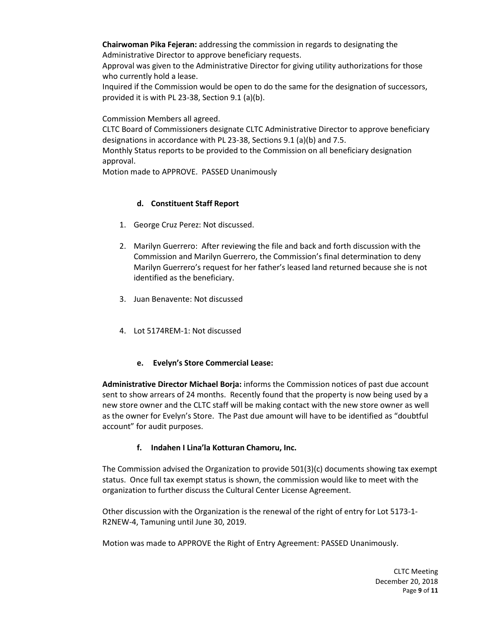**Chairwoman Pika Fejeran:** addressing the commission in regards to designating the Administrative Director to approve beneficiary requests.

Approval was given to the Administrative Director for giving utility authorizations for those who currently hold a lease.

Inquired if the Commission would be open to do the same for the designation of successors, provided it is with PL 23-38, Section 9.1 (a)(b).

Commission Members all agreed.

CLTC Board of Commissioners designate CLTC Administrative Director to approve beneficiary designations in accordance with PL 23-38, Sections 9.1 (a)(b) and 7.5.

Monthly Status reports to be provided to the Commission on all beneficiary designation approval.

Motion made to APPROVE. PASSED Unanimously

# **d. Constituent Staff Report**

- 1. George Cruz Perez: Not discussed.
- 2. Marilyn Guerrero: After reviewing the file and back and forth discussion with the Commission and Marilyn Guerrero, the Commission's final determination to deny Marilyn Guerrero's request for her father's leased land returned because she is not identified as the beneficiary.
- 3. Juan Benavente: Not discussed
- 4. Lot 5174REM-1: Not discussed
	- **e. Evelyn's Store Commercial Lease:**

**Administrative Director Michael Borja:** informs the Commission notices of past due account sent to show arrears of 24 months. Recently found that the property is now being used by a new store owner and the CLTC staff will be making contact with the new store owner as well as the owner for Evelyn's Store. The Past due amount will have to be identified as "doubtful account" for audit purposes.

# **f. Indahen I Lina'la Kotturan Chamoru, Inc.**

The Commission advised the Organization to provide 501(3)(c) documents showing tax exempt status. Once full tax exempt status is shown, the commission would like to meet with the organization to further discuss the Cultural Center License Agreement.

Other discussion with the Organization is the renewal of the right of entry for Lot 5173-1- R2NEW-4, Tamuning until June 30, 2019.

Motion was made to APPROVE the Right of Entry Agreement: PASSED Unanimously.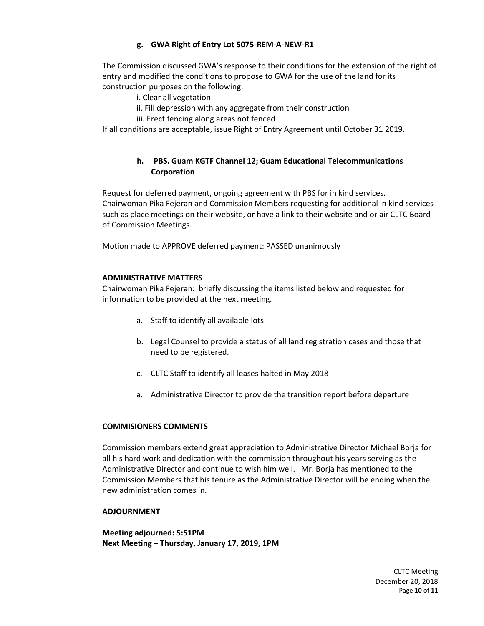# **g. GWA Right of Entry Lot 5075-REM-A-NEW-R1**

The Commission discussed GWA's response to their conditions for the extension of the right of entry and modified the conditions to propose to GWA for the use of the land for its construction purposes on the following:

- i. Clear all vegetation
- ii. Fill depression with any aggregate from their construction
- iii. Erect fencing along areas not fenced

If all conditions are acceptable, issue Right of Entry Agreement until October 31 2019.

# **h. PBS. Guam KGTF Channel 12; Guam Educational Telecommunications Corporation**

Request for deferred payment, ongoing agreement with PBS for in kind services. Chairwoman Pika Fejeran and Commission Members requesting for additional in kind services such as place meetings on their website, or have a link to their website and or air CLTC Board of Commission Meetings.

Motion made to APPROVE deferred payment: PASSED unanimously

# **ADMINISTRATIVE MATTERS**

Chairwoman Pika Fejeran: briefly discussing the items listed below and requested for information to be provided at the next meeting.

- a. Staff to identify all available lots
- b. Legal Counsel to provide a status of all land registration cases and those that need to be registered.
- c. CLTC Staff to identify all leases halted in May 2018
- a. Administrative Director to provide the transition report before departure

# **COMMISIONERS COMMENTS**

Commission members extend great appreciation to Administrative Director Michael Borja for all his hard work and dedication with the commission throughout his years serving as the Administrative Director and continue to wish him well. Mr. Borja has mentioned to the Commission Members that his tenure as the Administrative Director will be ending when the new administration comes in.

#### **ADJOURNMENT**

**Meeting adjourned: 5:51PM Next Meeting – Thursday, January 17, 2019, 1PM**